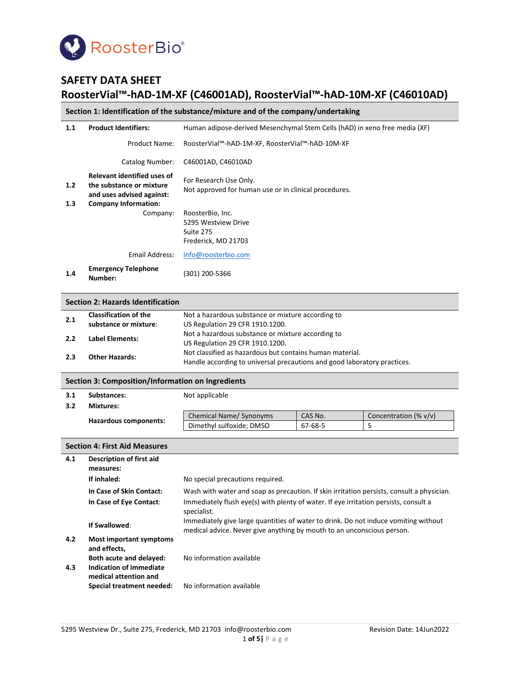

# **SAFETY DATA SHEET RoosterVial™-hAD-1M-XF (C46001AD), RoosterVial™-hAD-10M-XF (C46010AD)**

# **Section 1: Identification of the substance/mixture and of the company/undertaking**

| 1.1        | <b>Product Identifiers:</b>                                                                                                | Human adipose-derived Mesenchymal Stem Cells (hAD) in xeno free media (XF)           |
|------------|----------------------------------------------------------------------------------------------------------------------------|--------------------------------------------------------------------------------------|
|            | Product Name:                                                                                                              | RoosterVial™-hAD-1M-XF, RoosterVial™-hAD-10M-XF                                      |
|            | Catalog Number:                                                                                                            | C46001AD, C46010AD                                                                   |
| 1.2<br>1.3 | <b>Relevant identified uses of</b><br>the substance or mixture<br>and uses advised against:<br><b>Company Information:</b> | For Research Use Only.<br>Not approved for human use or in clinical procedures.      |
|            | Company:                                                                                                                   | RoosterBio, Inc.<br>5295 Westview Drive<br>Suite 275<br>Frederick, MD 21703          |
|            | Email Address:                                                                                                             | info@roosterbio.com                                                                  |
| 1.4        | <b>Emergency Telephone</b><br>Number:                                                                                      | (301) 200-5366                                                                       |
|            | <b>Section 2: Hazards Identification</b>                                                                                   |                                                                                      |
| 2.1        | <b>Classification of the</b><br>cuhetaneo or mivturo:                                                                      | Not a hazardous substance or mixture according to<br>LIC Dogulation 20 CED 1010 1200 |

| ***********************                                                  | <b>TYOT &amp; HULUI GOUS SUDSTANCE OF HIMTUITE GOOD FUILING</b> |
|--------------------------------------------------------------------------|-----------------------------------------------------------------|
| substance or mixture:                                                    | US Regulation 29 CFR 1910.1200.                                 |
|                                                                          | Not a hazardous substance or mixture according to               |
|                                                                          | US Regulation 29 CFR 1910.1200.                                 |
|                                                                          | Not classified as hazardous but contains human material.        |
| Handle according to universal precautions and good laboratory practices. |                                                                 |
|                                                                          | Label Elements:<br><b>Other Hazards:</b>                        |

### **Section 3: Composition/Information on Ingredients**

| 3.1 | Substances:           | Not applicable           |         |                       |
|-----|-----------------------|--------------------------|---------|-----------------------|
| 3.2 | <b>Mixtures:</b>      |                          |         |                       |
|     |                       | Chemical Name/ Synonyms  | CAS No. | Concentration (% v/v) |
|     | Hazardous components: | Dimethyl sulfoxide; DMSO | 67-68-5 |                       |

|            | <b>Section 4: First Aid Measures</b>                                                                 |                                                                                                                                                               |  |
|------------|------------------------------------------------------------------------------------------------------|---------------------------------------------------------------------------------------------------------------------------------------------------------------|--|
| 4.1        | Description of first aid<br>measures:                                                                |                                                                                                                                                               |  |
|            | If inhaled:                                                                                          | No special precautions required.                                                                                                                              |  |
|            | In Case of Skin Contact:                                                                             | Wash with water and soap as precaution. If skin irritation persists, consult a physician.                                                                     |  |
|            | In Case of Eye Contact:                                                                              | Immediately flush eye(s) with plenty of water. If eye irritation persists, consult a<br>specialist.                                                           |  |
|            | If Swallowed:                                                                                        | Immediately give large quantities of water to drink. Do not induce vomiting without<br>medical advice. Never give anything by mouth to an unconscious person. |  |
| 4.2<br>4.3 | <b>Most important symptoms</b><br>and effects,<br>Both acute and delayed:<br>Indication of immediate | No information available                                                                                                                                      |  |
|            | medical attention and<br>Special treatment needed:                                                   | No information available                                                                                                                                      |  |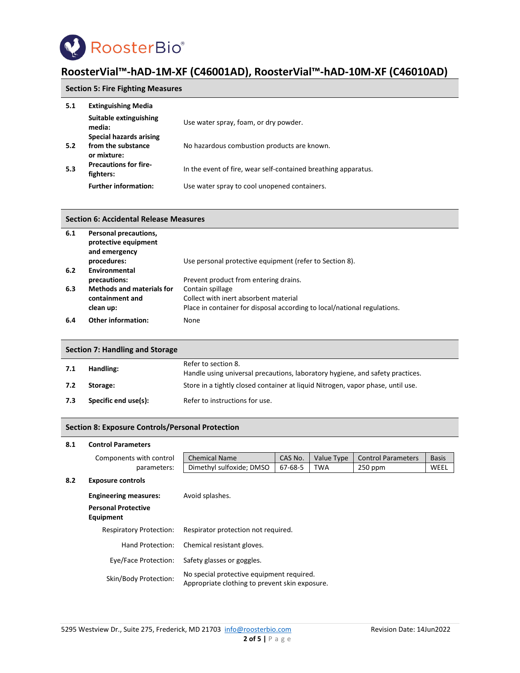

# **Section 5: Fire Fighting Measures**

| 5.1 | <b>Extinguishing Media</b>                |                                                                |
|-----|-------------------------------------------|----------------------------------------------------------------|
|     | Suitable extinguishing<br>media:          | Use water spray, foam, or dry powder.                          |
|     | Special hazards arising                   |                                                                |
| 5.2 | from the substance<br>or mixture:         | No hazardous combustion products are known.                    |
| 5.3 | <b>Precautions for fire-</b><br>fighters: | In the event of fire, wear self-contained breathing apparatus. |
|     | <b>Further information:</b>               | Use water spray to cool unopened containers.                   |

#### **Section 6: Accidental Release Measures**

| 6.1 | Personal precautions,<br>protective equipment<br>and emergency |                                                                          |
|-----|----------------------------------------------------------------|--------------------------------------------------------------------------|
|     | procedures:                                                    | Use personal protective equipment (refer to Section 8).                  |
| 6.2 | Environmental                                                  |                                                                          |
|     | precautions:                                                   | Prevent product from entering drains.                                    |
| 6.3 | <b>Methods and materials for</b>                               | Contain spillage                                                         |
|     | containment and                                                | Collect with inert absorbent material                                    |
|     | clean up:                                                      | Place in container for disposal according to local/national regulations. |
| 6.4 | <b>Other information:</b>                                      | None                                                                     |

# **Section 7: Handling and Storage**

| 7.1 | Handling:            | Refer to section 8.<br>Handle using universal precautions, laboratory hygiene, and safety practices. |
|-----|----------------------|------------------------------------------------------------------------------------------------------|
| 7.2 | Storage:             | Store in a tightly closed container at liquid Nitrogen, vapor phase, until use.                      |
| 7.3 | Specific end use(s): | Refer to instructions for use.                                                                       |

## **Section 8: Exposure Controls/Personal Protection**

#### **8.1 Control Parameters**

| <b>Chemical Name</b><br>Dimethyl sulfoxide; DMSO                                                                     | CAS No.<br>67-68-5 | Value Type<br><b>TWA</b>            | <b>Control Parameters</b><br>$250$ ppm                                                      | <b>Basis</b><br>WEEL |
|----------------------------------------------------------------------------------------------------------------------|--------------------|-------------------------------------|---------------------------------------------------------------------------------------------|----------------------|
|                                                                                                                      |                    |                                     |                                                                                             |                      |
| Avoid splashes.                                                                                                      |                    |                                     |                                                                                             |                      |
|                                                                                                                      |                    |                                     |                                                                                             |                      |
|                                                                                                                      |                    |                                     |                                                                                             |                      |
| Chemical resistant gloves.                                                                                           |                    |                                     |                                                                                             |                      |
| Safety glasses or goggles.                                                                                           |                    |                                     |                                                                                             |                      |
|                                                                                                                      |                    |                                     |                                                                                             |                      |
| Components with control<br>parameters:<br><b>Respiratory Protection:</b><br>Hand Protection:<br>Eye/Face Protection: |                    | Respirator protection not required. | No special protective equipment required.<br>Appropriate clothing to prevent skin exposure. |                      |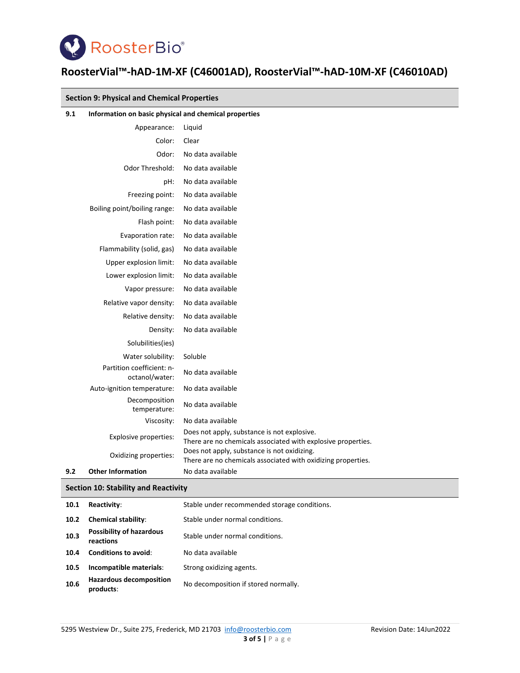

|     | <b>Section 9: Physical and Chemical Properties</b>    |                                                                                                             |  |
|-----|-------------------------------------------------------|-------------------------------------------------------------------------------------------------------------|--|
| 9.1 | Information on basic physical and chemical properties |                                                                                                             |  |
|     | Appearance:                                           | Liquid                                                                                                      |  |
|     | Color:                                                | Clear                                                                                                       |  |
|     | Odor:                                                 | No data available                                                                                           |  |
|     | <b>Odor Threshold:</b>                                | No data available                                                                                           |  |
|     | pH:                                                   | No data available                                                                                           |  |
|     | Freezing point:                                       | No data available                                                                                           |  |
|     | Boiling point/boiling range:                          | No data available                                                                                           |  |
|     | Flash point:                                          | No data available                                                                                           |  |
|     | Evaporation rate:                                     | No data available                                                                                           |  |
|     | Flammability (solid, gas)                             | No data available                                                                                           |  |
|     | Upper explosion limit:                                | No data available                                                                                           |  |
|     | Lower explosion limit:                                | No data available                                                                                           |  |
|     | Vapor pressure:                                       | No data available                                                                                           |  |
|     | Relative vapor density:                               | No data available                                                                                           |  |
|     | Relative density:                                     | No data available                                                                                           |  |
|     | Density:                                              | No data available                                                                                           |  |
|     | Solubilities(ies)                                     |                                                                                                             |  |
|     | Water solubility:                                     | Soluble                                                                                                     |  |
|     | Partition coefficient: n-<br>octanol/water:           | No data available                                                                                           |  |
|     | Auto-ignition temperature:                            | No data available                                                                                           |  |
|     | Decomposition<br>temperature:                         | No data available                                                                                           |  |
|     | Viscosity:                                            | No data available                                                                                           |  |
|     | Explosive properties:                                 | Does not apply, substance is not explosive.<br>There are no chemicals associated with explosive properties. |  |
|     | Oxidizing properties:                                 | Does not apply, substance is not oxidizing.<br>There are no chemicals associated with oxidizing properties. |  |
| 9.2 | <b>Other Information</b>                              | No data available                                                                                           |  |
|     | <b>Section 10: Stability and Reactivity</b>           |                                                                                                             |  |

| 10.1 | Reactivity:                                  | Stable under recommended storage conditions. |
|------|----------------------------------------------|----------------------------------------------|
| 10.2 | <b>Chemical stability:</b>                   | Stable under normal conditions.              |
| 10.3 | <b>Possibility of hazardous</b><br>reactions | Stable under normal conditions.              |
| 10.4 | <b>Conditions to avoid:</b>                  | No data available                            |
| 10.5 | Incompatible materials:                      | Strong oxidizing agents.                     |
| 10.6 | <b>Hazardous decomposition</b><br>products:  | No decomposition if stored normally.         |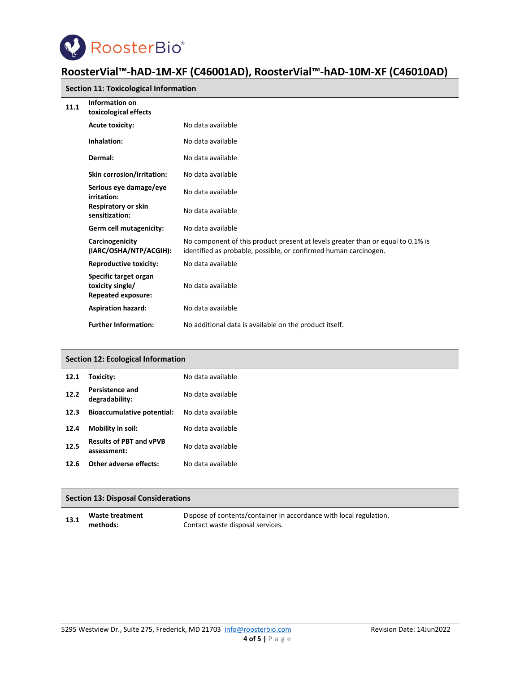

|      | <b>Section 11: Toxicological Information</b>                           |                                                                                                                                                     |  |
|------|------------------------------------------------------------------------|-----------------------------------------------------------------------------------------------------------------------------------------------------|--|
| 11.1 | Information on<br>toxicological effects                                |                                                                                                                                                     |  |
|      | <b>Acute toxicity:</b>                                                 | No data available                                                                                                                                   |  |
|      | Inhalation:                                                            | No data available                                                                                                                                   |  |
|      | Dermal:                                                                | No data available                                                                                                                                   |  |
|      | Skin corrosion/irritation:                                             | No data available                                                                                                                                   |  |
|      | Serious eye damage/eye<br>irritation:                                  | No data available                                                                                                                                   |  |
|      | <b>Respiratory or skin</b><br>sensitization:                           | No data available                                                                                                                                   |  |
|      | Germ cell mutagenicity:                                                | No data available                                                                                                                                   |  |
|      | Carcinogenicity<br>(IARC/OSHA/NTP/ACGIH):                              | No component of this product present at levels greater than or equal to 0.1% is<br>identified as probable, possible, or confirmed human carcinogen. |  |
|      | <b>Reproductive toxicity:</b>                                          | No data available                                                                                                                                   |  |
|      | Specific target organ<br>toxicity single/<br><b>Repeated exposure:</b> | No data available                                                                                                                                   |  |
|      | <b>Aspiration hazard:</b>                                              | No data available                                                                                                                                   |  |
|      | <b>Further Information:</b>                                            | No additional data is available on the product itself.                                                                                              |  |

# **Section 12: Ecological Information**

| 12.1 | Toxicity:                                     | No data available |
|------|-----------------------------------------------|-------------------|
| 12.2 | Persistence and<br>degradability:             | No data available |
| 12.3 | <b>Bioaccumulative potential:</b>             | No data available |
| 12.4 | Mobility in soil:                             | No data available |
| 12.5 | <b>Results of PBT and vPVB</b><br>assessment: | No data available |
| 12.6 | Other adverse effects:                        | No data available |

## **Section 13: Disposal Considerations**

**13.1 Waste treatment methods:** Dispose of contents/container in accordance with local regulation. Contact waste disposal services.